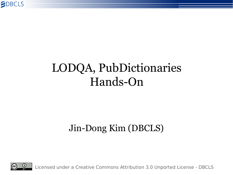

#### LODQA, PubDictionaries Hands-On

#### Jin-Dong Kim (DBCLS)



Licensed under a Creative Commons Attribution 3.0 Unported License - DBCLS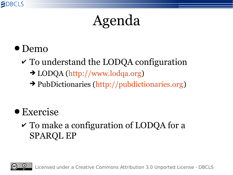

### Agenda

- Demo
	- $\checkmark$  To understand the LODQA configuration
		- ➔ LODQA [\(http://www.lodqa.org](http://www.lodqa.org/))
		- ➔ PubDictionaries ([http://pubdictionaries.org](http://pubdictionaries.org/))
- Exercise
	- $\checkmark$  To make a configuration of LODQA for a SPARQL EP

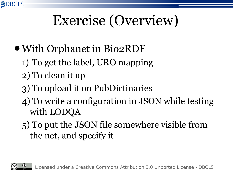### Exercise (Overview)

- With Orphanet in Bio2RDF
	- 1) To get the label, URO mapping
	- 2) To clean it up
	- 3) To upload it on PubDictinaries
	- 4) To write a configuration in JSON while testing with LODQA
	- 5) To put the JSON file somewhere visible from the net, and specify it



**SDBCLS**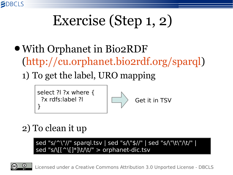

# Exercise (Step 1, 2)

- ●With Orphanet in Bio2RDF [\(http://cu.orphanet.bio2rdf.org/sparql](http://cu.orphanet.bio2rdf.org/sparql))
	- 1) To get the label, URO mapping





#### 2) To clean it up

sed "s/^\"//" sparql.tsv | sed "s/\"\$//" | sed "s/\"\t\"/\t/" | sed "s/\[[^\[]\*]\t/\t/" > orphanet-dic.tsv

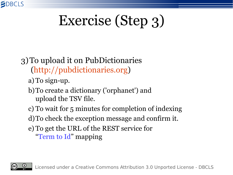

# Exercise (Step 3)

#### 3)To upload it on PubDictionaries [\(http://pubdictionaries.org](http://pubdictionaries.org/))

- a) To sign-up.
- b)To create a dictionary ('orphanet') and upload the TSV file.
- c) To wait for 5 minutes for completion of indexing
- d)To check the exception message and confirm it.
- e) To get the URL of the REST service for "Term to Id" mapping

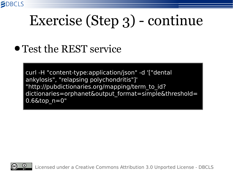

### Exercise (Step 3) - continue

#### ● Test the REST service

curl -H "content-type:application/json" -d '["dental ankylosis", "relapsing polychondritis"]' "http://pubdictionaries.org/mapping/term\_to\_id? dictionaries=orphanet&output format=simple&threshold=  $0.6$ &top $n=0$ "



Licensed under a Creative Commons Attribution 3.0 Unported License - DBCLS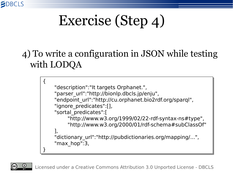

## Exercise (Step 4)

#### 4) To write a configuration in JSON while testing with LODQA

{ { "description":"It targets Orphanet.", "description":"It targets Orphanet.", "parser\_url":"http://bionlp.dbcls.jp/enju", "parser\_url":"http://bionlp.dbcls.jp/enju", "endpoint\_url":"http://cu.orphanet.bio2rdf.org/sparql", "endpoint\_url":"http://cu.orphanet.bio2rdf.org/sparql", "ignore\_predicates":[], "ignore\_predicates":[], "sortal\_predicates":[ "sortal\_predicates":[ "http://www.w3.org/1999/02/22-rdf-syntax-ns#type", "http://www.w3.org/1999/02/22-rdf-syntax-ns#type", "http://www.w3.org/2000/01/rdf-schema#subClassOf" "http://www.w3.org/2000/01/rdf-schema#subClassOf" ], "dictionary\_url":"http://pubdictionaries.org/mapping/...", "dictionary\_url":"http://pubdictionaries.org/mapping/...", "max\_hop":3, "max\_hop":3, } ], }

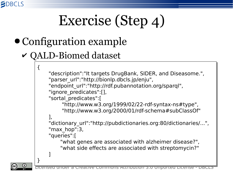

## Exercise (Step 4)

- Configuration example
	- ✔ QALD-Biomed dataset

{ {

}

}

```
"description":"It targets DrugBank, SIDER, and Diseasome.",
"description":"It targets DrugBank, SIDER, and Diseasome.",
"parser_url":"http://bionlp.dbcls.jp/enju",
"parser_url":"http://bionlp.dbcls.jp/enju",
"endpoint_url":"http://rdf.pubannotation.org/sparql",
"endpoint_url":"http://rdf.pubannotation.org/sparql",
"ignore_predicates":[],
"ignore_predicates":[],
"sortal_predicates":[
"sortal_predicates":[
          "http://www.w3.org/1999/02/22-rdf-syntax-ns#type",
"http://www.w3.org/1999/02/22-rdf-syntax-ns#type",
          "http://www.w3.org/2000/01/rdf-schema#subClassOf"
"http://www.w3.org/2000/01/rdf-schema#subClassOf"
],
"dictionary_url":"http://pubdictionaries.org:80/dictionaries/...",
"dictionary_url":"http://pubdictionaries.org:80/dictionaries/...",
"max_hop":3,
"max_hop":3,
"queries":[
"queries":[
         "what genes are associated with alzheimer disease?",
"what genes are associated with alzheimer disease?",
         "what side effects are associated with streptomycin?"
"what side effects are associated with streptomycin?"
\mathbf{I}],
]
```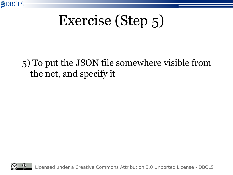

### Exercise (Step 5)

#### 5) To put the JSON file somewhere visible from the net, and specify it

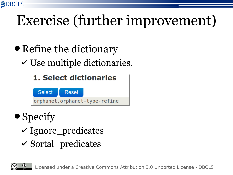

## Exercise (further improvement)

- Refine the dictionary
	- $\vee$  Use multiple dictionaries.

#### **1. Select dictionaries**



#### ● Specify

- $\checkmark$  Ignore\_predicates
- ✔ Sortal\_predicates